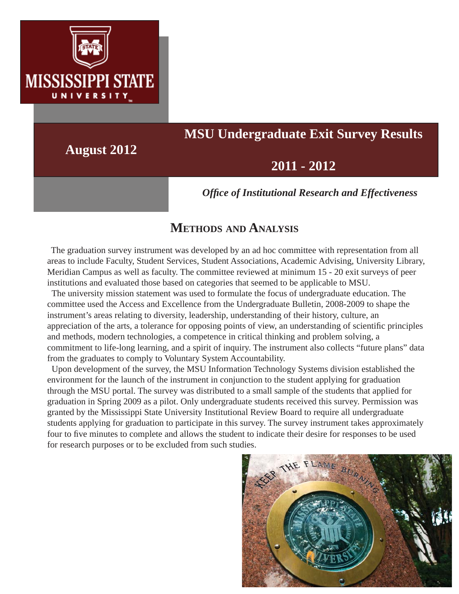

# **MSU Undergraduate Exit Survey Results**

**August 2012**

## **2011 - 2012**

*Offi ce of Institutional Research and Effectiveness*

### **METHODS AND ANALYSIS**

 The graduation survey instrument was developed by an ad hoc committee with representation from all areas to include Faculty, Student Services, Student Associations, Academic Advising, University Library, Meridian Campus as well as faculty. The committee reviewed at minimum 15 - 20 exit surveys of peer institutions and evaluated those based on categories that seemed to be applicable to MSU.

 The university mission statement was used to formulate the focus of undergraduate education. The committee used the Access and Excellence from the Undergraduate Bulletin, 2008-2009 to shape the instrument's areas relating to diversity, leadership, understanding of their history, culture, an appreciation of the arts, a tolerance for opposing points of view, an understanding of scientific principles and methods, modern technologies, a competence in critical thinking and problem solving, a commitment to life-long learning, and a spirit of inquiry. The instrument also collects "future plans" data from the graduates to comply to Voluntary System Accountability.

 Upon development of the survey, the MSU Information Technology Systems division established the environment for the launch of the instrument in conjunction to the student applying for graduation through the MSU portal. The survey was distributed to a small sample of the students that applied for graduation in Spring 2009 as a pilot. Only undergraduate students received this survey. Permission was granted by the Mississippi State University Institutional Review Board to require all undergraduate students applying for graduation to participate in this survey. The survey instrument takes approximately four to five minutes to complete and allows the student to indicate their desire for responses to be used for research purposes or to be excluded from such studies.

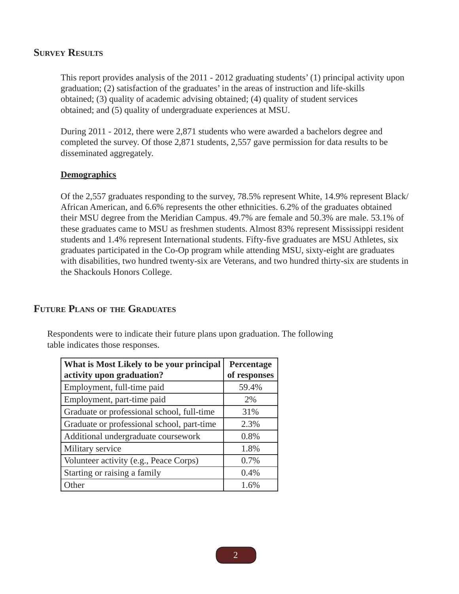#### **SURVEY RESULTS**

This report provides analysis of the 2011 - 2012 graduating students' (1) principal activity upon graduation; (2) satisfaction of the graduates' in the areas of instruction and life-skills obtained; (3) quality of academic advising obtained; (4) quality of student services obtained; and (5) quality of undergraduate experiences at MSU.

During 2011 - 2012, there were 2,871 students who were awarded a bachelors degree and completed the survey. Of those 2,871 students, 2,557 gave permission for data results to be disseminated aggregately.

#### **Demographics**

Of the 2,557 graduates responding to the survey, 78.5% represent White, 14.9% represent Black/ African American, and 6.6% represents the other ethnicities. 6.2% of the graduates obtained their MSU degree from the Meridian Campus. 49.7% are female and 50.3% are male. 53.1% of these graduates came to MSU as freshmen students. Almost 83% represent Mississippi resident students and 1.4% represent International students. Fifty-five graduates are MSU Athletes, six graduates participated in the Co-Op program while attending MSU, sixty-eight are graduates with disabilities, two hundred twenty-six are Veterans, and two hundred thirty-six are students in the Shackouls Honors College.

#### **FUTURE PLANS OF THE GRADUATES**

Respondents were to indicate their future plans upon graduation. The following table indicates those responses.

| What is Most Likely to be your principal<br>activity upon graduation? | Percentage<br>of responses |  |  |
|-----------------------------------------------------------------------|----------------------------|--|--|
| Employment, full-time paid                                            | 59.4%                      |  |  |
| Employment, part-time paid                                            | 2%                         |  |  |
| Graduate or professional school, full-time                            | 31%                        |  |  |
| Graduate or professional school, part-time                            | 2.3%                       |  |  |
| Additional undergraduate coursework                                   | 0.8%                       |  |  |
| Military service                                                      | 1.8%                       |  |  |
| Volunteer activity (e.g., Peace Corps)                                | 0.7%                       |  |  |
| Starting or raising a family                                          | 0.4%                       |  |  |
| Other                                                                 | 1.6%                       |  |  |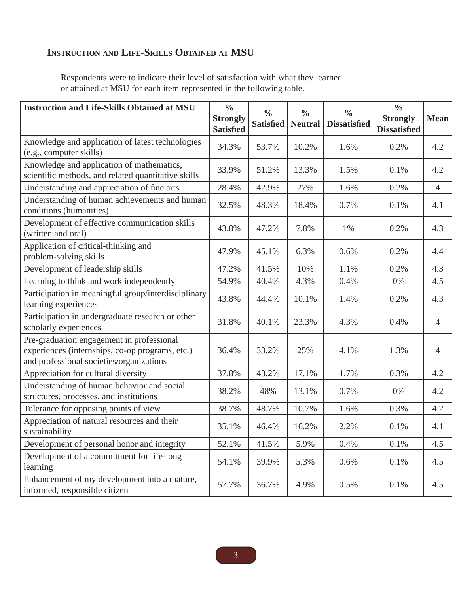### **INSTRUCTION AND LIFE-SKILLS OBTAINED AT MSU**

Respondents were to indicate their level of satisfaction with what they learned or attained at MSU for each item represented in the following table.

| <b>Instruction and Life-Skills Obtained at MSU</b>                                                                                       | $\frac{0}{0}$<br><b>Strongly</b><br><b>Satisfied</b> | $\frac{0}{0}$<br><b>Satisfied</b> | $\frac{0}{0}$<br><b>Neutral</b> | $\frac{0}{0}$<br><b>Dissatisfied</b> | $\frac{0}{0}$<br><b>Strongly</b><br><b>Dissatisfied</b> | <b>Mean</b>    |
|------------------------------------------------------------------------------------------------------------------------------------------|------------------------------------------------------|-----------------------------------|---------------------------------|--------------------------------------|---------------------------------------------------------|----------------|
| Knowledge and application of latest technologies<br>(e.g., computer skills)                                                              | 34.3%                                                | 53.7%                             | 10.2%                           | 1.6%                                 | 0.2%                                                    | 4.2            |
| Knowledge and application of mathematics,<br>scientific methods, and related quantitative skills                                         | 33.9%                                                | 51.2%                             | 13.3%                           | 1.5%                                 | 0.1%                                                    | 4.2            |
| Understanding and appreciation of fine arts                                                                                              | 28.4%                                                | 42.9%                             | 27%                             | 1.6%                                 | 0.2%                                                    | $\overline{4}$ |
| Understanding of human achievements and human<br>conditions (humanities)                                                                 | 32.5%                                                | 48.3%                             | 18.4%                           | 0.7%                                 | 0.1%                                                    | 4.1            |
| Development of effective communication skills<br>(written and oral)                                                                      | 43.8%                                                | 47.2%                             | 7.8%                            | 1%                                   | 0.2%                                                    | 4.3            |
| Application of critical-thinking and<br>problem-solving skills                                                                           | 47.9%                                                | 45.1%                             | 6.3%                            | 0.6%                                 | 0.2%                                                    | 4.4            |
| Development of leadership skills                                                                                                         | 47.2%                                                | 41.5%                             | 10%                             | 1.1%                                 | 0.2%                                                    | 4.3            |
| Learning to think and work independently                                                                                                 | 54.9%                                                | 40.4%                             | 4.3%                            | 0.4%                                 | 0%                                                      | 4.5            |
| Participation in meaningful group/interdisciplinary<br>learning experiences                                                              | 43.8%                                                | 44.4%                             | 10.1%                           | 1.4%                                 | 0.2%                                                    | 4.3            |
| Participation in undergraduate research or other<br>scholarly experiences                                                                | 31.8%                                                | 40.1%                             | 23.3%                           | 4.3%                                 | 0.4%                                                    | $\overline{4}$ |
| Pre-graduation engagement in professional<br>experiences (internships, co-op programs, etc.)<br>and professional societies/organizations | 36.4%                                                | 33.2%                             | 25%                             | 4.1%                                 | 1.3%                                                    | 4              |
| Appreciation for cultural diversity                                                                                                      | 37.8%                                                | 43.2%                             | 17.1%                           | 1.7%                                 | 0.3%                                                    | 4.2            |
| Understanding of human behavior and social<br>structures, processes, and institutions                                                    | 38.2%                                                | 48%                               | 13.1%                           | 0.7%                                 | 0%                                                      | 4.2            |
| Tolerance for opposing points of view                                                                                                    | 38.7%                                                | 48.7%                             | 10.7%                           | 1.6%                                 | 0.3%                                                    | 4.2            |
| Appreciation of natural resources and their<br>sustainability                                                                            | 35.1%                                                | 46.4%                             | 16.2%                           | 2.2%                                 | 0.1%                                                    | 4.1            |
| Development of personal honor and integrity                                                                                              | 52.1%                                                | 41.5%                             | 5.9%                            | 0.4%                                 | 0.1%                                                    | 4.5            |
| Development of a commitment for life-long<br>learning                                                                                    | 54.1%                                                | 39.9%                             | 5.3%                            | 0.6%                                 | 0.1%                                                    | 4.5            |
| Enhancement of my development into a mature,<br>informed, responsible citizen                                                            | 57.7%                                                | 36.7%                             | 4.9%                            | 0.5%                                 | 0.1%                                                    | 4.5            |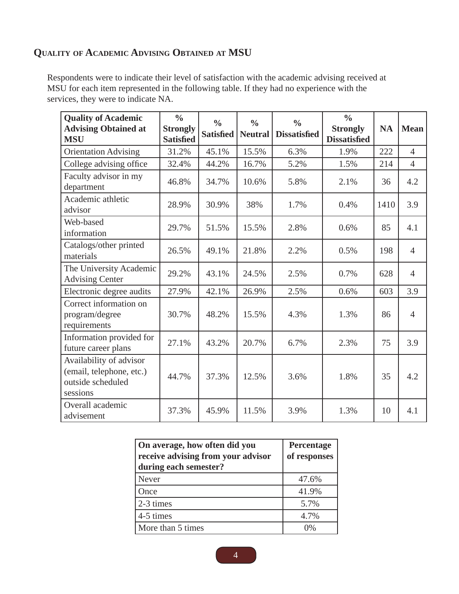### **QUALITY OF ACADEMIC ADVISING OBTAINED AT MSU**

Respondents were to indicate their level of satisfaction with the academic advising received at MSU for each item represented in the following table. If they had no experience with the services, they were to indicate NA.

| <b>Quality of Academic</b><br><b>Advising Obtained at</b><br><b>MSU</b>              | $\frac{0}{0}$<br><b>Strongly</b><br><b>Satisfied</b> | $\frac{0}{0}$<br><b>Satisfied</b> | $\frac{0}{0}$<br><b>Neutral</b> | $\frac{0}{0}$<br><b>Dissatisfied</b> | $\frac{0}{0}$<br><b>Strongly</b><br><b>Dissatisfied</b> | <b>NA</b> | <b>Mean</b>    |
|--------------------------------------------------------------------------------------|------------------------------------------------------|-----------------------------------|---------------------------------|--------------------------------------|---------------------------------------------------------|-----------|----------------|
| <b>Orientation Advising</b>                                                          | 31.2%                                                | 45.1%                             | 15.5%                           | 6.3%                                 | 1.9%                                                    | 222       | $\overline{4}$ |
| College advising office                                                              | 32.4%                                                | 44.2%                             | 16.7%                           | 5.2%                                 | 1.5%                                                    | 214       | $\overline{4}$ |
| Faculty advisor in my<br>department                                                  | 46.8%                                                | 34.7%                             | 10.6%                           | 5.8%                                 | 2.1%                                                    | 36        | 4.2            |
| Academic athletic<br>advisor                                                         | 28.9%                                                | 30.9%                             | 38%                             | 1.7%                                 | 0.4%                                                    | 1410      | 3.9            |
| Web-based<br>information                                                             | 29.7%                                                | 51.5%                             | 15.5%                           | 2.8%                                 | 0.6%                                                    | 85        | 4.1            |
| Catalogs/other printed<br>materials                                                  | 26.5%                                                | 49.1%                             | 21.8%                           | 2.2%                                 | 0.5%                                                    | 198       | $\overline{4}$ |
| The University Academic<br><b>Advising Center</b>                                    | 29.2%                                                | 43.1%                             | 24.5%                           | 2.5%                                 | 0.7%                                                    | 628       | $\overline{4}$ |
| Electronic degree audits                                                             | 27.9%                                                | 42.1%                             | 26.9%                           | 2.5%                                 | 0.6%                                                    | 603       | 3.9            |
| Correct information on<br>program/degree<br>requirements                             | 30.7%                                                | 48.2%                             | 15.5%                           | 4.3%                                 | 1.3%                                                    | 86        | $\overline{4}$ |
| Information provided for<br>future career plans                                      | 27.1%                                                | 43.2%                             | 20.7%                           | 6.7%                                 | 2.3%                                                    | 75        | 3.9            |
| Availability of advisor<br>(email, telephone, etc.)<br>outside scheduled<br>sessions | 44.7%                                                | 37.3%                             | 12.5%                           | 3.6%                                 | 1.8%                                                    | 35        | 4.2            |
| Overall academic<br>advisement                                                       | 37.3%                                                | 45.9%                             | 11.5%                           | 3.9%                                 | 1.3%                                                    | 10        | 4.1            |

| On average, how often did you<br>receive advising from your advisor<br>during each semester? | Percentage<br>of responses |
|----------------------------------------------------------------------------------------------|----------------------------|
| Never                                                                                        | 47.6%                      |
| Once                                                                                         | 41.9%                      |
| 2-3 times                                                                                    | 5.7%                       |
| 4-5 times                                                                                    | 4.7%                       |
| More than 5 times                                                                            | $0\%$                      |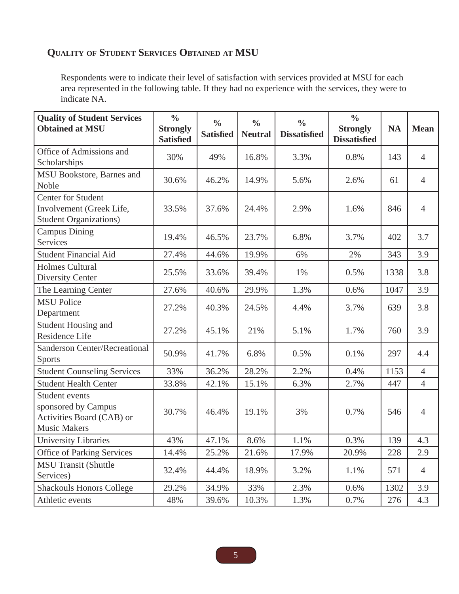### **QUALITY OF STUDENT SERVICES OBTAINED AT MSU**

Respondents were to indicate their level of satisfaction with services provided at MSU for each area represented in the following table. If they had no experience with the services, they were to indicate NA.

| <b>Quality of Student Services</b><br><b>Obtained at MSU</b>                              | $\frac{0}{0}$<br><b>Strongly</b><br><b>Satisfied</b> | $\frac{0}{0}$<br><b>Satisfied</b> | $\frac{0}{0}$<br><b>Neutral</b> | $\frac{0}{0}$<br><b>Dissatisfied</b> | $\frac{0}{0}$<br><b>Strongly</b><br><b>Dissatisfied</b> | <b>NA</b> | <b>Mean</b>    |
|-------------------------------------------------------------------------------------------|------------------------------------------------------|-----------------------------------|---------------------------------|--------------------------------------|---------------------------------------------------------|-----------|----------------|
| Office of Admissions and<br>Scholarships                                                  | 30%                                                  | 49%                               | 16.8%                           | 3.3%                                 | 0.8%                                                    | 143       | $\overline{4}$ |
| MSU Bookstore, Barnes and<br>Noble                                                        | 30.6%                                                | 46.2%                             | 14.9%                           | 5.6%                                 | 2.6%                                                    | 61        | $\overline{4}$ |
| <b>Center for Student</b><br>Involvement (Greek Life,<br><b>Student Organizations)</b>    | 33.5%                                                | 37.6%                             | 24.4%                           | 2.9%                                 | 1.6%                                                    | 846       | $\overline{4}$ |
| <b>Campus Dining</b><br>Services                                                          | 19.4%                                                | 46.5%                             | 23.7%                           | 6.8%                                 | 3.7%                                                    | 402       | 3.7            |
| <b>Student Financial Aid</b>                                                              | 27.4%                                                | 44.6%                             | 19.9%                           | 6%                                   | 2%                                                      | 343       | 3.9            |
| <b>Holmes Cultural</b><br><b>Diversity Center</b>                                         | 25.5%                                                | 33.6%                             | 39.4%                           | 1%                                   | 0.5%                                                    | 1338      | 3.8            |
| The Learning Center                                                                       | 27.6%                                                | 40.6%                             | 29.9%                           | 1.3%                                 | 0.6%                                                    | 1047      | 3.9            |
| <b>MSU Police</b><br>Department                                                           | 27.2%                                                | 40.3%                             | 24.5%                           | 4.4%                                 | 3.7%                                                    | 639       | 3.8            |
| Student Housing and<br>Residence Life                                                     | 27.2%                                                | 45.1%                             | 21%                             | 5.1%                                 | 1.7%                                                    | 760       | 3.9            |
| <b>Sanderson Center/Recreational</b><br><b>Sports</b>                                     | 50.9%                                                | 41.7%                             | 6.8%                            | 0.5%                                 | 0.1%                                                    | 297       | 4.4            |
| <b>Student Counseling Services</b>                                                        | 33%                                                  | 36.2%                             | 28.2%                           | 2.2%                                 | 0.4%                                                    | 1153      | $\overline{4}$ |
| <b>Student Health Center</b>                                                              | 33.8%                                                | 42.1%                             | 15.1%                           | 6.3%                                 | 2.7%                                                    | 447       | $\overline{4}$ |
| Student events<br>sponsored by Campus<br>Activities Board (CAB) or<br><b>Music Makers</b> | 30.7%                                                | 46.4%                             | 19.1%                           | 3%                                   | 0.7%                                                    | 546       | $\overline{4}$ |
| University Libraries                                                                      | 43%                                                  | 47.1%                             | 8.6%                            | 1.1%                                 | 0.3%                                                    | 139       | 4.3            |
| <b>Office of Parking Services</b>                                                         | 14.4%                                                | 25.2%                             | 21.6%                           | 17.9%                                | 20.9%                                                   | 228       | 2.9            |
| <b>MSU Transit (Shuttle</b><br>Services)                                                  | 32.4%                                                | 44.4%                             | 18.9%                           | 3.2%                                 | 1.1%                                                    | 571       | $\overline{4}$ |
| <b>Shackouls Honors College</b>                                                           | 29.2%                                                | 34.9%                             | 33%                             | 2.3%                                 | 0.6%                                                    | 1302      | 3.9            |
| Athletic events                                                                           | 48%                                                  | 39.6%                             | 10.3%                           | 1.3%                                 | 0.7%                                                    | 276       | 4.3            |